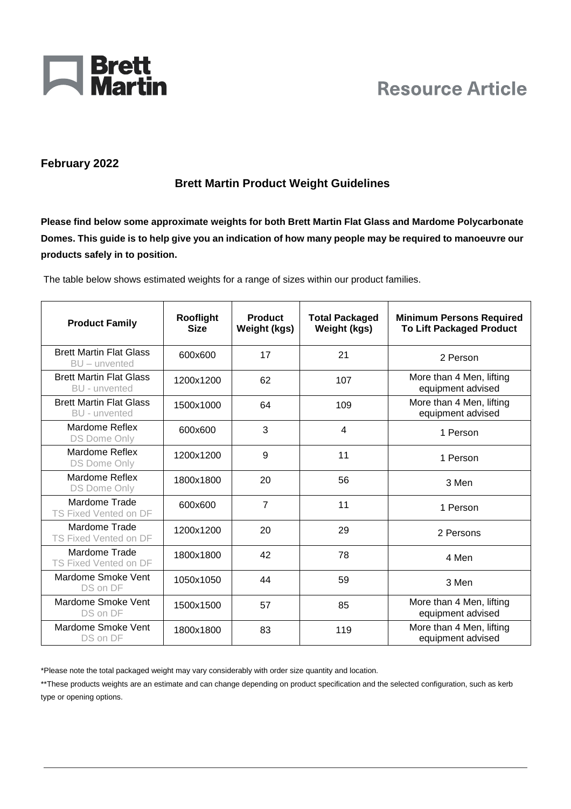

## **Resource Article**

## **February 2022**

## **Brett Martin Product Weight Guidelines**

**Please find below some approximate weights for both Brett Martin Flat Glass and Mardome Polycarbonate Domes. This guide is to help give you an indication of how many people may be required to manoeuvre our products safely in to position.** 

The table below shows estimated weights for a range of sizes within our product families.

| <b>Product Family</b>                                  | Rooflight<br><b>Size</b> | <b>Product</b><br><b>Weight (kgs)</b> | <b>Total Packaged</b><br><b>Weight (kgs)</b> | <b>Minimum Persons Required</b><br><b>To Lift Packaged Product</b> |
|--------------------------------------------------------|--------------------------|---------------------------------------|----------------------------------------------|--------------------------------------------------------------------|
| <b>Brett Martin Flat Glass</b><br>$BU - unvented$      | 600x600                  | 17                                    | 21                                           | 2 Person                                                           |
| <b>Brett Martin Flat Glass</b><br><b>BU</b> - unvented | 1200x1200                | 62                                    | 107                                          | More than 4 Men, lifting<br>equipment advised                      |
| <b>Brett Martin Flat Glass</b><br>BU - unvented        | 1500x1000                | 64                                    | 109                                          | More than 4 Men, lifting<br>equipment advised                      |
| Mardome Reflex<br>DS Dome Only                         | 600x600                  | 3                                     | 4                                            | 1 Person                                                           |
| Mardome Reflex<br><b>DS Dome Only</b>                  | 1200x1200                | 9                                     | 11                                           | 1 Person                                                           |
| Mardome Reflex<br><b>DS Dome Only</b>                  | 1800x1800                | 20                                    | 56                                           | 3 Men                                                              |
| Mardome Trade<br>TS Fixed Vented on DF                 | 600x600                  | $\overline{7}$                        | 11                                           | 1 Person                                                           |
| Mardome Trade<br>TS Fixed Vented on DF                 | 1200x1200                | 20                                    | 29                                           | 2 Persons                                                          |
| Mardome Trade<br>TS Fixed Vented on DF                 | 1800x1800                | 42                                    | 78                                           | 4 Men                                                              |
| Mardome Smoke Vent<br>DS on DF                         | 1050x1050                | 44                                    | 59                                           | 3 Men                                                              |
| Mardome Smoke Vent<br>DS on DF                         | 1500x1500                | 57                                    | 85                                           | More than 4 Men, lifting<br>equipment advised                      |
| Mardome Smoke Vent<br>DS on DF                         | 1800x1800                | 83                                    | 119                                          | More than 4 Men, lifting<br>equipment advised                      |

\*Please note the total packaged weight may vary considerably with order size quantity and location.

\*\*These products weights are an estimate and can change depending on product specification and the selected configuration, such as kerb type or opening options.